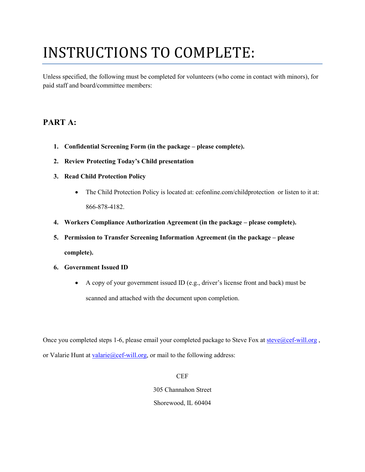# INSTRUCTIONS TO COMPLETE:

Unless specified, the following must be completed for volunteers (who come in contact with minors), for paid staff and board/committee members:

## **PART A:**

- **1. Confidential Screening Form (in the package please complete).**
- **2. Review Protecting Today's Child presentation**
- **3. Read Child Protection Policy**
	- The Child Protection Policy is located at: cefonline.com/childprotection or listen to it at: 866-878-4182.
- **4. Workers Compliance Authorization Agreement (in the package please complete).**
- **5. Permission to Transfer Screening Information Agreement (in the package please complete).**
- **6. Government Issued ID**
	- A copy of your government issued ID (e.g., driver's license front and back) must be scanned and attached with the document upon completion.

Once you completed steps 1-6, please email your completed package to Steve Fox at steve@cef-will.org, or Valarie Hunt at [valarie@cef-will.org,](mailto:valarie@cef-will.org) or mail to the following address:

> **CEF** 305 Channahon Street Shorewood, IL 60404